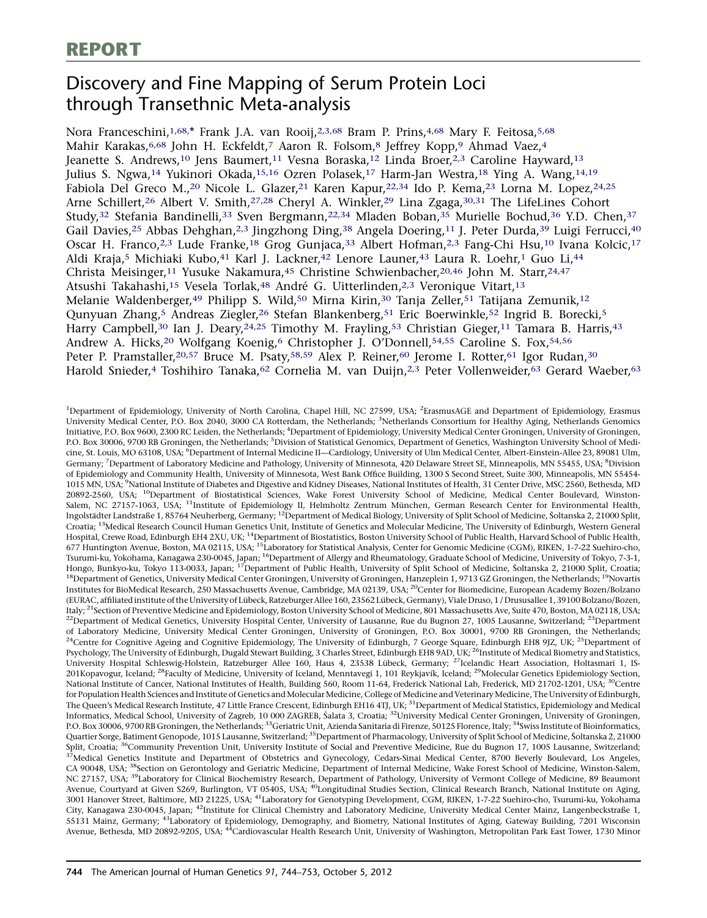# <span id="page-0-0"></span>Discovery and Fine Mapping of Serum Protein Loci through Transethnic Meta-analysis

Nora Franceschini,<sup>1,68,[\\*](#page-1-0)</sup> Frank J.A. van Rooij,<sup>2,3,68</sup> Bram P. Prins,<sup>4,68</sup> Mary F. Feitosa,<sup>5,68</sup> Mahir Karakas, 6,68 John H. Eckfeldt,<sup>7</sup> Aaron R. Folsom,8 Jeffrey Kopp,9 Ahmad Vaez, 4 Jeanette S. Andrews,<sup>10</sup> Jens Baumert,<sup>11</sup> Vesna Boraska,<sup>12</sup> Linda Broer,<sup>2,3</sup> Caroline Hayward,<sup>13</sup> Julius S. Ngwa,14 Yukinori Okada,15,16 Ozren Polasek,17 Harm-Jan Westra,18 Ying A. Wang,14,19 Fabiola Del Greco M.,<sup>20</sup> Nicole L. Glazer,<sup>21</sup> Karen Kapur,<sup>22,34</sup> Ido P. Kema,<sup>23</sup> Lorna M. Lopez,<sup>24,25</sup> Arne Schillert,<sup>26</sup> Albert V. Smith,<sup>27,28</sup> Cheryl A. Winkler,<sup>29</sup> Lina Zgaga,<sup>30,31</sup> The LifeLines Cohort Study,32 Stefania Bandinelli,33 Sven Bergmann,22,34 Mladen Boban,35 Murielle Bochud,36 Y.D. Chen,37 Gail Davies,<sup>25</sup> Abbas Dehghan,<sup>2,3</sup> Jingzhong Ding,<sup>38</sup> Angela Doering,<sup>11</sup> J. Peter Durda,<sup>39</sup> Luigi Ferrucci,<sup>40</sup> Oscar H. Franco,<sup>2,3</sup> Lude Franke,<sup>18</sup> Grog Gunjaca,<sup>33</sup> Albert Hofman,<sup>2,3</sup> Fang-Chi Hsu,<sup>10</sup> Ivana Kolcic,<sup>17</sup> Aldi Kraja,<sup>5</sup> Michiaki Kubo,<sup>41</sup> Karl J. Lackner,<sup>42</sup> Lenore Launer,<sup>43</sup> Laura R. Loehr,<sup>1</sup> Guo Li,<sup>44</sup> Christa Meisinger,<sup>11</sup> Yusuke Nakamura,<sup>[45](#page-1-0)</sup> Christine Schwienbacher,<sup>20[,46](#page-1-0)</sup> John M. Starr,<sup>24[,47](#page-1-0)</sup> Atsushi Takahashi,<sup>15</sup> Vesela Torlak,<sup>[48](#page-1-0)</sup> André G. Uitterlinden,<sup>2,3</sup> Veronique Vitart,<sup>13</sup> Melanie Waldenberger,<sup>49</sup> Philipp S. Wild,<sup>50</sup> Mirna Kirin,<sup>30</sup> Tanja Zeller,<sup>[51](#page-1-0)</sup> Tatijana Zemunik,<sup>12</sup> Qunyuan Zhang,5 Andreas Ziegler,26 Stefan Blankenberg,[51](#page-1-0) Eric Boerwinkle[,52](#page-1-0) Ingrid B. Borecki,5 Harry Campbell,<sup>30</sup> Ian J. Deary,<sup>24,25</sup> Timothy M. Frayling,<sup>[53](#page-1-0)</sup> Christian Gieger,<sup>11</sup> Tamara B. Harris,<sup>43</sup> Andrew A. Hicks,<sup>20</sup> Wolfgang Koenig,<sup>6</sup> Christopher J. O'Donnell,<sup>[54,55](#page-1-0)</sup> Caroline S. Fox,<sup>[54](#page-1-0),[56](#page-1-0)</sup> Peter P. Pramstaller, 20,[57](#page-1-0) Bruce M. Psaty, [58,59](#page-1-0) Alex P. Reiner, [60](#page-1-0) Jerome I. Rotter, [61](#page-1-0) Igor Rudan, 30 Harold Snieder,4 Toshihiro Tanaka,<sup>[62](#page-1-0)</sup> Cornelia M. van Duijn,<sup>2,3</sup> Peter Vollenweider,<sup>[63](#page-1-0)</sup> Gerard Waeber,<sup>63</sup>

<sup>1</sup>Department of Epidemiology, University of North Carolina, Chapel Hill, NC 27599, USA; <sup>2</sup>ErasmusAGE and Department of Epidemiology, Erasmus University Medical Center, P.O. Box 2040, 3000 CA Rotterdam, the Netherlands; <sup>3</sup>Netherlands Consortium for Healthy Aging, Netherlands Genomics Initiative, P.O. Box 9600, 2300 RC Leiden, the Netherlands; <sup>4</sup>Department of Epidemiology, University Medical Center Groningen, University of Groningen, P.O. Box 30006, 9700 RB Groningen, the Netherlands; <sup>5</sup>Division of Statistical Genomics, Department of Genetics, Washington University School of Medicine, St. Louis, MO 63108, USA; <sup>6</sup> Department of Internal Medicine II—Cardiology, University of Ulm Medical Center, Albert-Einstein-Allee 23, 89081 Ulm, Germany; <sup>7</sup>Department of Laboratory Medicine and Pathology, University of Minnesota, 420 Delaware Street SE, Minneapolis, MN 55455, USA; <sup>8</sup>Division of Epidemiology and Community Health, University of Minnesota, West Bank Office Building, 1300 S Second Street, Suite 300, Minneapolis, MN 55454- 1015 MN, USA; <sup>9</sup>National Institute of Diabetes and Digestive and Kidney Diseases, National Institutes of Health, 31 Center Drive, MSC 2560, Bethesda, MD 20892-2560, USA; <sup>10</sup>Department of Biostatistical Sciences, Wake Forest University School of Medicine, Medical Center Boulevard, Winston-Salem, NC 27157-1063, USA; <sup>11</sup>Institute of Epidemiology II, Helmholtz Zentrum München, German Research Center for Environmental Health, Ingolstädter Landstraße 1, 85764 Neuherberg, Germany; <sup>12</sup>Department of Medical Biology, University of Split School of Medicine, Šoltanska 2, 21000 Split, Croatia; 13Medical Research Council Human Genetics Unit, Institute of Genetics and Molecular Medicine, The University of Edinburgh, Western General Hospital, Crewe Road, Edinburgh EH4 2XU, UK;<sup>14</sup>Department of Biostatistics, Boston University School of Public Health, Harvard School of Public Health, 677 Huntington Avenue, Boston, MA 02115, USA; <sup>15</sup>Laboratory for Statistical Analysis, Center for Genomic Medicine (CGM), RIKEN, 1-7-22 Suehiro-cho, Tsurumi-ku, Yokohama, Kanagawa 230-0045, Japan; <sup>16</sup>Department of Allergy and Rheumatology, Graduate School of Medicine, University of Tokyo, 7-3-1, Hongo, Bunkyo-ku, Tokyo 113-0033, Japan; <sup>17</sup>Department of Public Health, University of Split School of Medicine, Šoltanska 2, 21000 Split, Croatia; <sup>18</sup>Department of Genetics, University Medical Center Groningen, University of Groningen, Hanzeplein 1, 9713 GZ Groningen, the Netherlands; <sup>19</sup>Novartis Institutes for BioMedical Research, 250 Massachusetts Avenue, Cambridge, MA 02139, USA; 20Center for Biomedicine, European Academy Bozen/Bolzano (EURAC, affiliated institute of the University of Lübeck, Ratzeburger Allee 160, 23562 Lübeck, Germany), Viale Druso, 1 / Drususallee 1, 39100 Bolzano/Bozen, Italy; <sup>21</sup>Section of Preventive Medicine and Epidemiology, Boston University School of Medicine, 801 Massachusetts Ave, Suite 470, Boston, MA 02118, USA; <sup>22</sup>Department of Medical Genetics, University Hospital Center, University of Lausanne, Rue du Bugnon 27, 1005 Lausanne, Switzerland; <sup>23</sup>Department of Laboratory Medicine, University Medical Center Groningen, University of Groningen, P.O. Box 30001, 9700 RB Groningen, the Netherlands;<br><sup>24</sup>Centre for Cognitive Ageing and Cognitive Epidemiology, The University of Edinbu Psychology, The University of Edinburgh, Dugald Stewart Building, 3 Charles Street, Edinburgh EH8 9AD, UK; <sup>26</sup>Institute of Medical Biometry and Statistics, University Hospital Schleswig-Holstein, Ratzeburger Allee 160, Haus 4, 23538 Lübeck, Germany; <sup>27</sup>Icelandic Heart Association, Holtasmari 1, IS-201Kopavogur, Iceland; <sup>28</sup>Faculty of Medicine, University of Iceland, Menntavegi 1, 101 Reykjavík, Iceland; <sup>29</sup>Molecular Genetics Epidemiology Section, National Institute of Cancer, National Institutes of Health, Building 560, Room 11-64, Frederick National Lab, Frederick, MD 21702-1201, USA; <sup>30</sup>Centre for Population Health Sciences and Institute of Genetics and Molecular Medicine, College of Medicine and Veterinary Medicine, The University of Edinburgh, The Queen's Medical Research Institute, 47 Little France Crescent, Edinburgh EH16 4TJ, UK; <sup>31</sup>Department of Medical Statistics, Epidemiology and Medical Informatics, Medical School, University of Zagreb, 10 000 ZAGREB, Šalata 3, Croatia; <sup>32</sup>University Medical Center Groningen, University of Groningen, P.O. Box 30006. 9700 RB Groningen, the Netherlands; <sup>33</sup>Geriatric Unit, Azienda Sanitaria di Firenze, 50125 Florence, Italy; <sup>34</sup>Swiss Institute of Bioinformatics, Quartier Sorge, Batiment Genopode, 1015 Lausanne, Switzerland; <sup>35</sup>Department of Pharmacology, University of Split School of Medicine, Soltanska 2, 21000 Split, Croatia; <sup>36</sup>Community Prevention Unit, University Institute of Social and Preventive Medicine, Rue du Bugnon 17, 1005 Lausanne, Switzerland; <sup>37</sup>Medical Genetics Institute and Department of Obstetrics and Gynecology, Cedars-Sinai Medical Center, 8700 Beverly Boulevard, Los Angeles, CA 90048, USA; <sup>38</sup>Section on Gerontology and Geriatric Medicine, Department of Internal Medicine, Wake Forest School of Medicine, Winston-Salem, NC 27157, USA; <sup>39</sup>Laboratory for Clinical Biochemistry Research, Department of Pathology, University of Vermont College of Medicine, 89 Beaumont Avenue, Courtyard at Given S269, Burlington, VT 05405, USA; <sup>40</sup>Longitudinal Studies Section, Clinical Research Branch, National Institute on Aging, 3001 Hanover Street, Baltimore, MD 21225, USA; 41Laboratory for Genotyping Development, CGM, RIKEN, 1-7-22 Suehiro-cho, Tsurumi-ku, Yokohama City, Kanagawa 230-0045, Japan; 42Institute for Clinical Chemistry and Laboratory Medicine, University Medical Center Mainz, Langenbeckstraße 1, 55131 Mainz, Germany; 43Laboratory of Epidemiology, Demography, and Biometry, National Institutes of Aging, Gateway Building, 7201 Wisconsin Avenue, Bethesda, MD 20892-9205, USA; 44Cardiovascular Health Research Unit, University of Washington, Metropolitan Park East Tower, 1730 Minor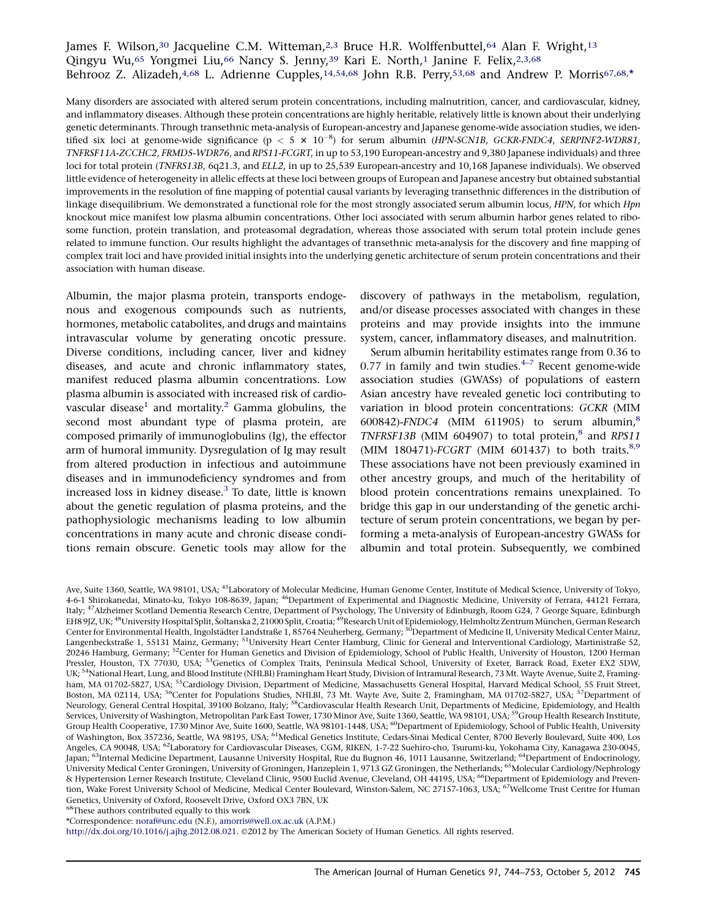## <span id="page-1-0"></span>James F. Wilson,<sup>30</sup> Jacqueline C.M. Witteman,<sup>[2,3](#page-0-0)</sup> Bruce H.R. Wolffenbuttel,<sup>64</sup> Alan F. Wright,<sup>13</sup> Qingyu Wu,65 Yongmei Liu,66 Nancy S. Jenny,[39](#page-0-0) Kari E. North,[1](#page-0-0) Janine F. Felix,[2,3](#page-0-0),68 Behrooz Z. Alizadeh,<sup>4,68</sup> L. Adrienne Cupples,<sup>[14](#page-0-0),54,68</sup> John R.B. Perry,<sup>53,68</sup> and Andrew P. Morris<sup>67,68,\*</sup>

Many disorders are associated with altered serum protein concentrations, including malnutrition, cancer, and cardiovascular, kidney, and inflammatory diseases. Although these protein concentrations are highly heritable, relatively little is known about their underlying genetic determinants. Through transethnic meta-analysis of European-ancestry and Japanese genome-wide association studies, we identified six loci at genome-wide significance ( $p < 5 \times 10^{-8}$ ) for serum albumin (HPN-SCN1B, GCKR-FNDC4, SERPINF2-WDR81,<br>TNEBSE114 ZCCHC2 EPMD5 WDR76 and PBS11 ECCRT in up to 52,100 European appeartm and 0.280 Iapanese indi TNFRSF11A-ZCCHC2, FRMD5-WDR76, and RPS11-FCGRT, in up to 53,190 European-ancestry and 9,380 Japanese individuals) and three loci for total protein (TNFRS13B, 6q21.3, and ELL2, in up to 25,539 European-ancestry and 10,168 Japanese individuals). We observed little evidence of heterogeneity in allelic effects at these loci between groups of European and Japanese ancestry but obtained substantial improvements in the resolution of fine mapping of potential causal variants by leveraging transethnic differences in the distribution of linkage disequilibrium. We demonstrated a functional role for the most strongly associated serum albumin locus, HPN, for which Hpn knockout mice manifest low plasma albumin concentrations. Other loci associated with serum albumin harbor genes related to ribosome function, protein translation, and proteasomal degradation, whereas those associated with serum total protein include genes related to immune function. Our results highlight the advantages of transethnic meta-analysis for the discovery and fine mapping of complex trait loci and have provided initial insights into the underlying genetic architecture of serum protein concentrations and their association with human disease.

Albumin, the major plasma protein, transports endogenous and exogenous compounds such as nutrients, hormones, metabolic catabolites, and drugs and maintains intravascular volume by generating oncotic pressure. Diverse conditions, including cancer, liver and kidney diseases, and acute and chronic inflammatory states, manifest reduced plasma albumin concentrations. Low plasma albumin is associated with increased risk of cardio-vascular disease<sup>[1](#page-8-0)</sup> and mortality.<sup>2</sup> Gamma globulins, the second most abundant type of plasma protein, are composed primarily of immunoglobulins (Ig), the effector arm of humoral immunity. Dysregulation of Ig may result from altered production in infectious and autoimmune diseases and in immunodeficiency syndromes and from increased loss in kidney disease.<sup>[3](#page-8-0)</sup> To date, little is known about the genetic regulation of plasma proteins, and the pathophysiologic mechanisms leading to low albumin concentrations in many acute and chronic disease conditions remain obscure. Genetic tools may allow for the discovery of pathways in the metabolism, regulation, and/or disease processes associated with changes in these proteins and may provide insights into the immune system, cancer, inflammatory diseases, and malnutrition.

Serum albumin heritability estimates range from 0.36 to 0.77 in family and twin studies. $4-7$  Recent genome-wide association studies (GWASs) of populations of eastern Asian ancestry have revealed genetic loci contributing to variation in blood protein concentrations: GCKR (MIM 600[8](#page-8-0)42)-FNDC4 (MIM 611905) to serum albumin, $8$ TNFRSF13B (MIM 604907) to total protein, $8$  and RPS[11](#page-8-0) (MIM 180471)- $FCGRT$  (MIM 601437) to both traits.<sup>8,9</sup> These associations have not been previously examined in other ancestry groups, and much of the heritability of blood protein concentrations remains unexplained. To bridge this gap in our understanding of the genetic architecture of serum protein concentrations, we began by performing a meta-analysis of European-ancestry GWASs for albumin and total protein. Subsequently, we combined

68These authors contributed equally to this work

\*Correspondence: [noraf@unc.edu](mailto:noraf@unc.edu) (N.F.), [amorris@well.ox.ac.uk](mailto:amorris@well.ox.ac.uk) (A.P.M.)

[http://dx.doi.org/10.1016/j.ajhg.2012.08.021.](http://dx.doi.org/10.1016/j.ajhg.2012.08.021) ©2012 by The American Society of Human Genetics. All rights reserved.

Ave, Suite 1360, Seattle, WA 98101, USA; <sup>45</sup>Laboratory of Molecular Medicine, Human Genome Center, Institute of Medical Science, University of Tokyo, 4-6-1 Shirokanedai, Minato-ku, Tokyo 108-8639, Japan; 46Department of Experimental and Diagnostic Medicine, University of Ferrara, 44121 Ferrara, Italy; 47Alzheimer Scotland Dementia Research Centre, Department of Psychology, The University of Edinburgh, Room G24, 7 George Square, Edinburgh EH8 9JZ, UK; <sup>48</sup>University Hospital Split, Šoltanska 2, 21000 Split, Croatia; <sup>49</sup>Research Unit of Epidemiology, Helmholtz Zentrum München, German Research Center for Environmental Health, Ingolstädter Landstraße 1, 85764 Neuherberg, Germany; <sup>50</sup>Department of Medicine II, University Medical Center Mainz, Langenbeckstraße 1, 55131 Mainz, Germany; <sup>51</sup>University Heart Center Hamburg, Clinic for General and Interventional Cardiology, Martinistraße 52, 20246 Hamburg, Germany; <sup>52</sup>Center for Human Genetics and Division of Epidemiology, School of Public Health, University of Houston, 1200 Herman Pressler, Houston, TX 77030, USA; <sup>53</sup>Genetics of Complex Traits, Peninsula Medical School, University of Exeter, Barrack Road, Exeter EX2 5DW, UK; <sup>54</sup>National Heart, Lung, and Blood Institute (NHLBI) Framingham Heart Study, Division of Intramural Research, 73 Mt. Wayte Avenue, Suite 2, Framingham, MA 01702-5827, USA; <sup>55</sup>Cardiology Division, Department of Medicine, Massachusetts General Hospital, Harvard Medical School, 55 Fruit Street, Boston, MA 02114, USA; <sup>56</sup>Center for Populations Studies, NHLBI, 73 Mt. Wayte Ave, Suite 2, Framingham, MA 01702-5827, USA; <sup>57</sup>Department of Neurology, General Central Hospital, 39100 Bolzano, Italy; <sup>58</sup>Cardiovascular Health Research Unit, Departments of Medicine, Epidemiology, and Health Services, University of Washington, Metropolitan Park East Tower, 1730 Minor Ave, Suite 1360, Seattle, WA 98101, USA; <sup>59</sup>Group Health Research Institute, Group Health Cooperative, 1730 Minor Ave, Suite 1600, Seattle, WA 98101-1448, USA; <sup>60</sup>Department of Epidemiology, School of Public Health, University of Washington, Box 357236, Seattle, WA 98195, USA; <sup>61</sup>Medical Genetics Institute, Cedars-Sinai Medical Center, 8700 Beverly Boulevard, Suite 400, Los Angeles, CA 90048, USA; 62Laboratory for Cardiovascular Diseases, CGM, RIKEN, 1-7-22 Suehiro-cho, Tsurumi-ku, Yokohama City, Kanagawa 230-0045, Japan; <sup>63</sup>Internal Medicine Department, Lausanne University Hospital, Rue du Bugnon 46, 1011 Lausanne, Switzerland; <sup>64</sup>Department of Endocrinology, University Medical Center Groningen, University of Groningen, Hanzeplein 1, 9713 GZ Groningen, the Netherlands; 65Molecular Cardiology/Nephrology & Hypertension Lerner Research Institute, Cleveland Clinic, 9500 Euclid Avenue, Cleveland, OH 44195, USA; 66Department of Epidemiology and Prevention, Wake Forest University School of Medicine, Medical Center Boulevard, Winston-Salem, NC 27157-1063, USA; <sup>67</sup>Wellcome Trust Centre for Human Genetics, University of Oxford, Roosevelt Drive, Oxford OX3 7BN, UK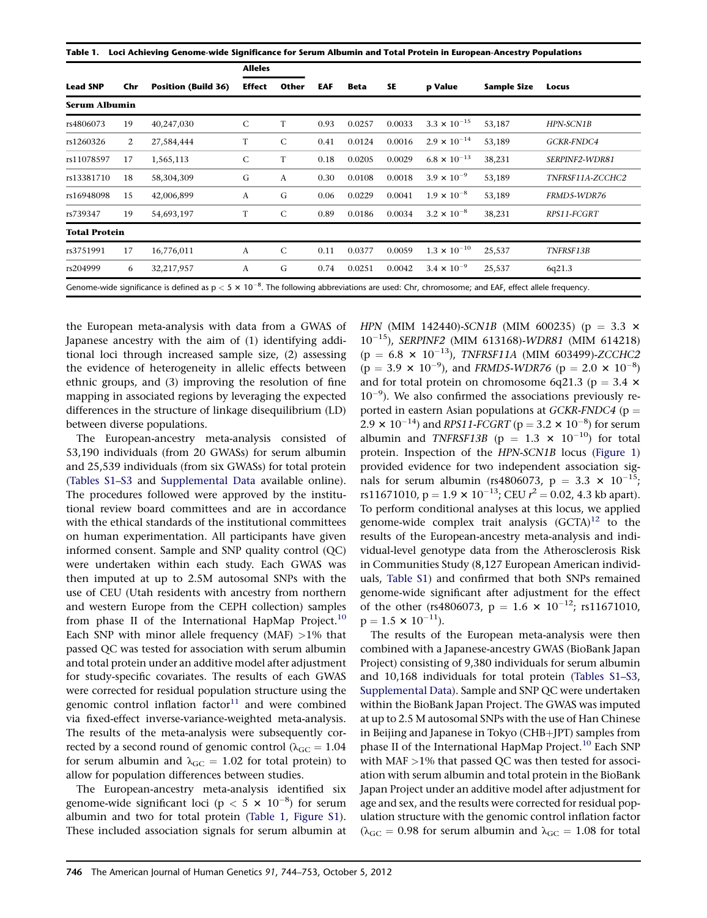|                      |     |                            | <b>Alleles</b> |               |      |             |        |                       |                    |                  |  |  |
|----------------------|-----|----------------------------|----------------|---------------|------|-------------|--------|-----------------------|--------------------|------------------|--|--|
| <b>Lead SNP</b>      | Chr | <b>Position (Build 36)</b> | <b>Effect</b>  | Other         | EAF  | <b>Beta</b> | SE     | p Value               | <b>Sample Size</b> | Locus            |  |  |
| <b>Serum Albumin</b> |     |                            |                |               |      |             |        |                       |                    |                  |  |  |
| rs4806073            | 19  | 40,247,030                 | $\mathsf{C}$   | T             | 0.93 | 0.0257      | 0.0033 | $3.3 \times 10^{-15}$ | 53,187             | HPN-SCN1B        |  |  |
| rs1260326            | 2   | 27,584,444                 | T              | $\mathcal{C}$ | 0.41 | 0.0124      | 0.0016 | $2.9 \times 10^{-14}$ | 53,189             | GCKR-FNDC4       |  |  |
| rs11078597           | 17  | 1,565,113                  | $\mathsf{C}$   | T             | 0.18 | 0.0205      | 0.0029 | $6.8 \times 10^{-13}$ | 38,231             | SERPINF2-WDR81   |  |  |
| rs13381710           | 18  | 58,304,309                 | G              | A             | 0.30 | 0.0108      | 0.0018 | $3.9 \times 10^{-9}$  | 53,189             | TNFRSF11A-ZCCHC2 |  |  |
| rs16948098           | 15  | 42,006,899                 | A              | G             | 0.06 | 0.0229      | 0.0041 | $1.9 \times 10^{-8}$  | 53,189             | FRMD5-WDR76      |  |  |
| rs739347             | 19  | 54,693,197                 | T              | $\mathsf{C}$  | 0.89 | 0.0186      | 0.0034 | $3.2 \times 10^{-8}$  | 38,231             | RPS11-FCGRT      |  |  |
| <b>Total Protein</b> |     |                            |                |               |      |             |        |                       |                    |                  |  |  |
| rs3751991            | 17  | 16,776,011                 | A              | $\mathsf{C}$  | 0.11 | 0.0377      | 0.0059 | $1.3 \times 10^{-10}$ | 25,537             | TNFRSF13B        |  |  |
| rs204999             | 6   | 32,217,957                 | A              | G             | 0.74 | 0.0251      | 0.0042 | $3.4 \times 10^{-9}$  | 25,537             | 6q21.3           |  |  |

the European meta-analysis with data from a GWAS of Japanese ancestry with the aim of (1) identifying additional loci through increased sample size, (2) assessing the evidence of heterogeneity in allelic effects between ethnic groups, and (3) improving the resolution of fine mapping in associated regions by leveraging the expected differences in the structure of linkage disequilibrium (LD) between diverse populations.

The European-ancestry meta-analysis consisted of 53,190 individuals (from 20 GWASs) for serum albumin and 25,539 individuals (from six GWASs) for total protein ([Tables S1–S3](#page-8-0) and [Supplemental Data](#page-8-0) available online). The procedures followed were approved by the institutional review board committees and are in accordance with the ethical standards of the institutional committees on human experimentation. All participants have given informed consent. Sample and SNP quality control (QC) were undertaken within each study. Each GWAS was then imputed at up to 2.5M autosomal SNPs with the use of CEU (Utah residents with ancestry from northern and western Europe from the CEPH collection) samples from phase II of the International HapMap Project.<sup>[10](#page-9-0)</sup> Each SNP with minor allele frequency (MAF)  $>1\%$  that passed QC was tested for association with serum albumin and total protein under an additive model after adjustment for study-specific covariates. The results of each GWAS were corrected for residual population structure using the genomic control inflation factor $11$  and were combined via fixed-effect inverse-variance-weighted meta-analysis. The results of the meta-analysis were subsequently corrected by a second round of genomic control ( $\lambda_{\text{GC}} = 1.04$ ) for serum albumin and  $\lambda_{\text{GC}} = 1.02$  for total protein) to allow for population differences between studies.

The European-ancestry meta-analysis identified six genome-wide significant loci ( $p < 5 \times 10^{-8}$ ) for serum albumin and two for total protein (Table 1, [Figure S1\)](#page-8-0). These included association signals for serum albumin at HPN (MIM 142440)-SCN1B (MIM 600235) ( $p = 3.3 \times$  $10^{-15}$ ), SERPINF2 (MIM 613168)-WDR81 (MIM 614218)  $(p = 6.8 \times 10^{-13})$ , TNFRSF11A (MIM 603499)-ZCCHC2  $(p = 3.9 \times 10^{-9})$ , and FRMD5-WDR76  $(p = 2.0 \times 10^{-8})$ <br>and for total protein on chromosome 6.21.3 (p = 3.4  $\times$ and for total protein on chromosome 6q21.3 ( $p = 3.4 \times$  $10^{-9}$ ). We also confirmed the associations previously reported in eastern Asian populations at  $GCKR\text{-}FNDC4$  (p = 2.9  $\times$  10<sup>-14</sup>) and *RPS11-FCGRT* (p = 3.2  $\times$  10<sup>-8</sup>) for serum<br>albumin\_and\_*TNEBSE12B\_(p* = 1.2  $\times$  10<sup>-10</sup>), for total albumin and TNFRSF13B ( $p = 1.3 \times 10^{-10}$ ) for total protein. Inspection of the HPN-SCN1B locus [\(Figure 1\)](#page-3-0) provided evidence for two independent association signals for serum albumin (rs4806073,  $p = 3.3 \times 10^{-15}$ ; rs11671010,  $p = 1.9 \times 10^{-13}$ ; CEU  $r^2 = 0.02$ , 4.3 kb apart).<br>To perform conditional analyses at this locus, we applied To perform conditional analyses at this locus, we applied genome-wide complex trait analysis  $(GCTA)^{12}$  $(GCTA)^{12}$  $(GCTA)^{12}$  to the results of the European-ancestry meta-analysis and individual-level genotype data from the Atherosclerosis Risk in Communities Study (8,127 European American individuals, [Table S1\)](#page-8-0) and confirmed that both SNPs remained genome-wide significant after adjustment for the effect of the other (rs4806073,  $p = 1.6 \times 10^{-12}$ ; rs11671010,  $p = 1.5 \times 10^{-11}$ ).

The results of the European meta-analysis were then combined with a Japanese-ancestry GWAS (BioBank Japan Project) consisting of 9,380 individuals for serum albumin and 10,168 individuals for total protein [\(Tables S1–S3](#page-8-0), [Supplemental Data\)](#page-8-0). Sample and SNP QC were undertaken within the BioBank Japan Project. The GWAS was imputed at up to 2.5 M autosomal SNPs with the use of Han Chinese in Beijing and Japanese in Tokyo (CHB+JPT) samples from phase II of the International HapMap Project.<sup>[10](#page-9-0)</sup> Each SNP with MAF >1% that passed QC was then tested for association with serum albumin and total protein in the BioBank Japan Project under an additive model after adjustment for age and sex, and the results were corrected for residual population structure with the genomic control inflation factor ( $\lambda_{\text{GC}} = 0.98$  for serum albumin and  $\lambda_{\text{GC}} = 1.08$  for total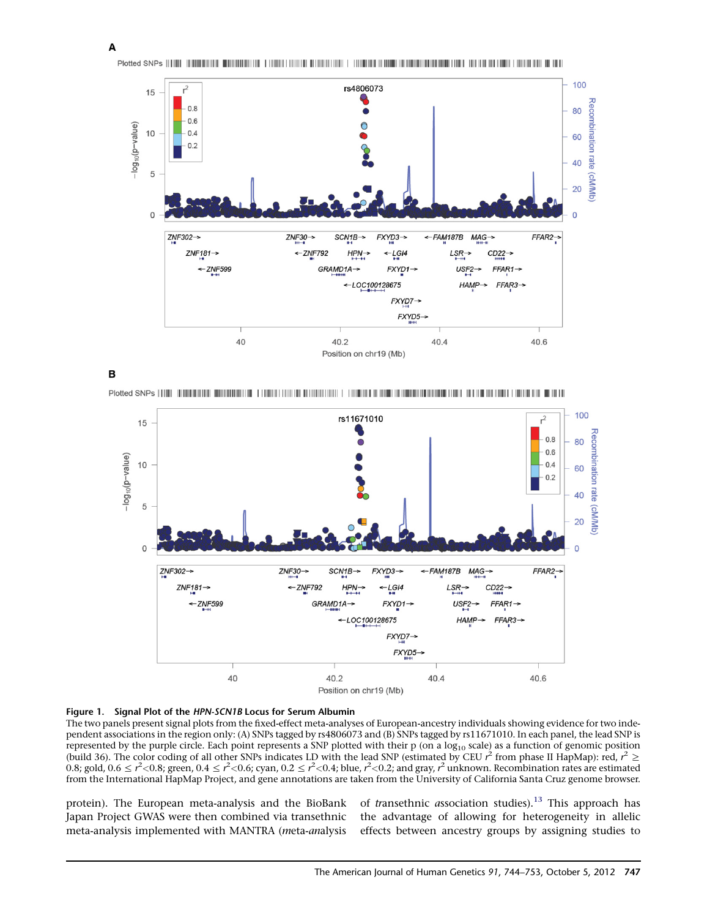<span id="page-3-0"></span>Plotted SNPs (FINE NUMBERING WARDENING FINDER IN THE DELIGION OF THE DISTRICT DEMONSTRATION OF THE DELIGION OF THE OLD BEAT OF



B







The two panels present signal plots from the fixed-effect meta-analyses of European-ancestry individuals showing evidence for two independent associations in the region only: (A) SNPs tagged by rs4806073 and (B) SNPs tagged by rs11671010. In each panel, the lead SNP is represented by the purple circle. Each point represents a SNP plotted with their  $p$  (on a log<sub>10</sub> scale) as a function of genomic position (build 36). The color coding of all other SNPs indicates LD with the lead SNP (estimated by CEU  $r^2$  from phase II HapMap): red,  $r^2 \ge 0$  8: green 0.4  $\le r^2 < 0$  6: gyan 0.2  $\le r^2 < 0$  4: blue  $r^2 < 0$  2: and gray  $r^2$ 0.8; gold, 0.6  $\leq$  r<sup>2</sup><0.8; green, 0.4  $\leq$  r<sup>2</sup><0.6; cyan, 0.2  $\leq$  r<sup>2</sup><0.4; blue, r<sup>2</sup><0.2; and gray, r<sup>2</sup> unknown. Recombination rates are estimated<br>from the International HapMan Project, and gene annotations are from the International HapMap Project, and gene annotations are taken from the University of California Santa Cruz genome browser.

protein). The European meta-analysis and the BioBank Japan Project GWAS were then combined via transethnic meta-analysis implemented with MANTRA (meta-analysis of *transethnic association* studies).<sup>[13](#page-9-0)</sup> This approach has the advantage of allowing for heterogeneity in allelic effects between ancestry groups by assigning studies to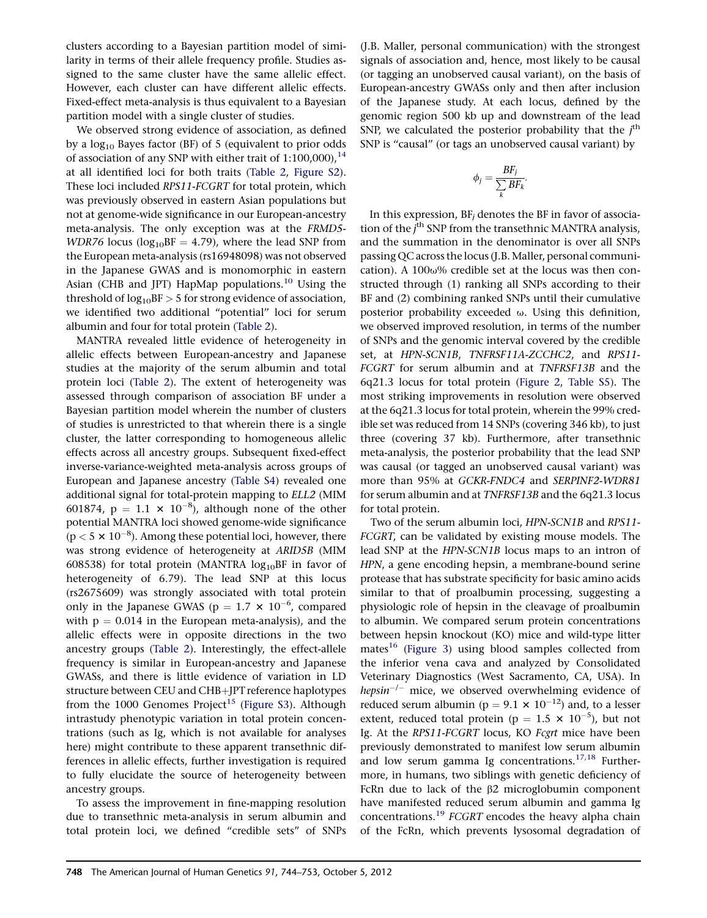clusters according to a Bayesian partition model of similarity in terms of their allele frequency profile. Studies assigned to the same cluster have the same allelic effect. However, each cluster can have different allelic effects. Fixed-effect meta-analysis is thus equivalent to a Bayesian partition model with a single cluster of studies.

We observed strong evidence of association, as defined by a  $log_{10}$  Bayes factor (BF) of 5 (equivalent to prior odds of association of any SNP with either trait of  $1:100,000$ ,  $14$ at all identified loci for both traits [\(Table 2](#page-5-0), [Figure S2\)](#page-8-0). These loci included RPS11-FCGRT for total protein, which was previously observed in eastern Asian populations but not at genome-wide significance in our European-ancestry meta-analysis. The only exception was at the FRMD5-  $WDR76$  locus (log<sub>10</sub>BF = 4.79), where the lead SNP from the European meta-analysis (rs16948098) was not observed in the Japanese GWAS and is monomorphic in eastern Asian (CHB and JPT) HapMap populations.<sup>[10](#page-9-0)</sup> Using the threshold of  $log_{10}BF > 5$  for strong evidence of association, we identified two additional "potential" loci for serum albumin and four for total protein ([Table 2](#page-5-0)).

MANTRA revealed little evidence of heterogeneity in allelic effects between European-ancestry and Japanese studies at the majority of the serum albumin and total protein loci ([Table 2](#page-5-0)). The extent of heterogeneity was assessed through comparison of association BF under a Bayesian partition model wherein the number of clusters of studies is unrestricted to that wherein there is a single cluster, the latter corresponding to homogeneous allelic effects across all ancestry groups. Subsequent fixed-effect inverse-variance-weighted meta-analysis across groups of European and Japanese ancestry [\(Table S4](#page-8-0)) revealed one additional signal for total-protein mapping to ELL2 (MIM 601874,  $p = 1.1 \times 10^{-8}$ , although none of the other potential MANTRA loci showed genome-wide significance  $(p < 5 \times 10^{-8})$ . Among these potential loci, however, there was strong evidence of heterogeneity at ARID5B (MIM 608538) for total protein (MANTRA  $log_{10}BF$  in favor of heterogeneity of 6.79). The lead SNP at this locus (rs2675609) was strongly associated with total protein only in the Japanese GWAS ( $p = 1.7 \times 10^{-6}$ , compared with  $p = 0.014$  in the European meta-analysis), and the allelic effects were in opposite directions in the two ancestry groups ([Table 2\)](#page-5-0). Interestingly, the effect-allele frequency is similar in European-ancestry and Japanese GWASs, and there is little evidence of variation in LD structure between CEU and CHB+JPT reference haplotypes from the 1000 Genomes Project<sup>[15](#page-9-0)</sup> [\(Figure S3\)](#page-8-0). Although intrastudy phenotypic variation in total protein concentrations (such as Ig, which is not available for analyses here) might contribute to these apparent transethnic differences in allelic effects, further investigation is required to fully elucidate the source of heterogeneity between ancestry groups.

To assess the improvement in fine-mapping resolution due to transethnic meta-analysis in serum albumin and total protein loci, we defined ''credible sets'' of SNPs

(J.B. Maller, personal communication) with the strongest signals of association and, hence, most likely to be causal (or tagging an unobserved causal variant), on the basis of European-ancestry GWASs only and then after inclusion of the Japanese study. At each locus, defined by the genomic region 500 kb up and downstream of the lead SNP, we calculated the posterior probability that the  $j<sup>th</sup>$ <br>SND is "causal" (or tags an unobserved causal variant) by SNP is "causal" (or tags an unobserved causal variant) by

$$
\phi_j = \frac{BF_j}{\sum_k BF_k}.
$$

In this expression,  $BF_i$  denotes the  $BF$  in favor of association of the  $j^{\text{th}}$  SNP from the transethnic MANTRA analysis,<br>and the summation in the denominator is over all SNDs and the summation in the denominator is over all SNPs passing QC across the locus (J.B. Maller, personal communication). A 100 $\omega$ % credible set at the locus was then constructed through (1) ranking all SNPs according to their BF and (2) combining ranked SNPs until their cumulative posterior probability exceeded  $\omega$ . Using this definition, we observed improved resolution, in terms of the number of SNPs and the genomic interval covered by the credible set, at HPN-SCN1B, TNFRSF11A-ZCCHC2, and RPS11- FCGRT for serum albumin and at TNFRSF13B and the 6q21.3 locus for total protein [\(Figure 2](#page-6-0), [Table S5\)](#page-8-0). The most striking improvements in resolution were observed at the 6q21.3 locus for total protein, wherein the 99% credible set was reduced from 14 SNPs (covering 346 kb), to just three (covering 37 kb). Furthermore, after transethnic meta-analysis, the posterior probability that the lead SNP was causal (or tagged an unobserved causal variant) was more than 95% at GCKR-FNDC4 and SERPINF2-WDR81 for serum albumin and at TNFRSF13B and the 6q21.3 locus for total protein.

Two of the serum albumin loci, HPN-SCN1B and RPS11- FCGRT, can be validated by existing mouse models. The lead SNP at the HPN-SCN1B locus maps to an intron of HPN, a gene encoding hepsin, a membrane-bound serine protease that has substrate specificity for basic amino acids similar to that of proalbumin processing, suggesting a physiologic role of hepsin in the cleavage of proalbumin to albumin. We compared serum protein concentrations between hepsin knockout (KO) mice and wild-type litter mates<sup>[16](#page-9-0)</sup> [\(Figure 3\)](#page-7-0) using blood samples collected from the inferior vena cava and analyzed by Consolidated Veterinary Diagnostics (West Sacramento, CA, USA). In hepsin<sup>-/-</sup> mice, we observed overwhelming evidence of reduced serum albumin ( $p = 9.1 \times 10^{-12}$ ) and, to a lesser extent, reduced total protein ( $p = 1.5 \times 10^{-5}$ ), but not Ig. At the RPS11-FCGRT locus, KO Fcgrt mice have been previously demonstrated to manifest low serum albumin and low serum gamma Ig concentrations.<sup>17,18</sup> Furthermore, in humans, two siblings with genetic deficiency of FcRn due to lack of the  $\beta$ 2 microglobumin component have manifested reduced serum albumin and gamma Ig concentrations.<sup>[19](#page-9-0)</sup> FCGRT encodes the heavy alpha chain of the FcRn, which prevents lysosomal degradation of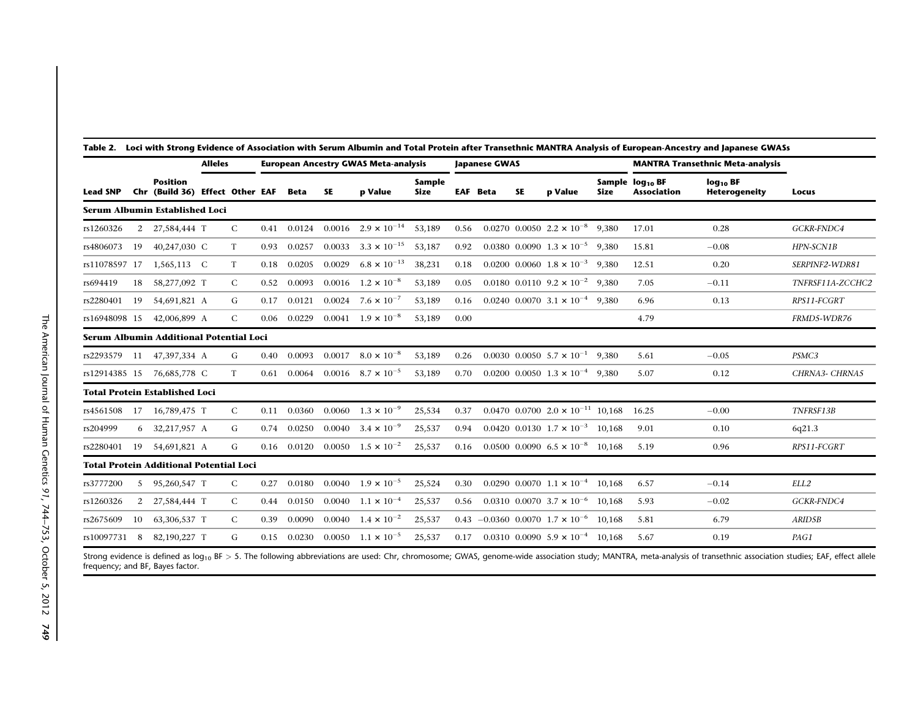|                                                |                                         |                                                    | <b>Alleles</b> |              |      | <b>European Ancestry GWAS Meta-analysis</b> |           |                                 |                       | <b>Japanese GWAS</b> |  |           |                                                      |             | <b>MANTRA Transethnic Meta-analysis</b>           |                                                  |                  |
|------------------------------------------------|-----------------------------------------|----------------------------------------------------|----------------|--------------|------|---------------------------------------------|-----------|---------------------------------|-----------------------|----------------------|--|-----------|------------------------------------------------------|-------------|---------------------------------------------------|--------------------------------------------------|------------------|
| <b>Lead SNP</b>                                |                                         | <b>Position</b><br>Chr (Build 36) Effect Other EAF |                |              |      | Beta                                        | <b>SE</b> | p Value                         | Sample<br><b>Size</b> | <b>EAF</b> Beta      |  | <b>SE</b> | p Value                                              | <b>Size</b> | Sample log <sub>10</sub> BF<br><b>Association</b> | $log_{10}$ <sub>BF</sub><br><b>Heterogeneity</b> | Locus            |
| Serum Albumin Established Loci                 |                                         |                                                    |                |              |      |                                             |           |                                 |                       |                      |  |           |                                                      |             |                                                   |                                                  |                  |
| rs1260326                                      | 2                                       | 27,584,444 T                                       |                | C            | 0.41 | 0.0124                                      | 0.0016    | $2.9 \times 10^{-14}$           | 53,189                | 0.56                 |  |           | $0.0270$ 0.0050 $2.2 \times 10^{-8}$ 9.380           |             | 17.01                                             | 0.28                                             | GCKR-FNDC4       |
| rs4806073                                      | 19                                      | 40,247,030 C                                       |                | T            | 0.93 | 0.0257                                      | 0.0033    | $3.3 \times 10^{-15}$           | 53,187                | 0.92                 |  |           | $0.0380$ $0.0090$ $1.3 \times 10^{-5}$ 9.380         |             | 15.81                                             | $-0.08$                                          | HPN-SCN1B        |
| rs11078597 17                                  |                                         | 1,565,113 C                                        |                | T            | 0.18 | 0.0205                                      | 0.0029    | $6.8 \times 10^{-13}$           | 38,231                | 0.18                 |  |           | $0.0200$ 0.0060 $1.8 \times 10^{-3}$                 | 9.380       | 12.51                                             | 0.20                                             | SERPINF2-WDR81   |
| rs694419                                       | 18                                      | 58,277,092 T                                       |                | C            | 0.52 | 0.0093                                      |           | $0.0016$ $1.2 \times 10^{-8}$   | 53,189                | 0.05                 |  |           | $0.0180$ $0.0110$ $9.2 \times 10^{-2}$ $9.380$       |             | 7.05                                              | $-0.11$                                          | TNFRSF11A-ZCCHC2 |
| rs2280401                                      | 19                                      | 54,691,821 A                                       |                | G            | 0.17 | 0.0121                                      |           | $0.0024$ 7.6 $\times$ $10^{-7}$ | 53,189                | 0.16                 |  |           | $0.0240$ 0.0070 $3.1 \times 10^{-4}$ 9.380           |             | 6.96                                              | 0.13                                             | RPS11-FCGRT      |
| rs16948098 15                                  |                                         | 42,006,899 A                                       |                | $\mathsf{C}$ | 0.06 | 0.0229                                      |           | $0.0041$ $1.9 \times 10^{-8}$   | 53.189                | 0.00                 |  |           |                                                      |             | 4.79                                              |                                                  | FRMD5-WDR76      |
|                                                | Serum Albumin Additional Potential Loci |                                                    |                |              |      |                                             |           |                                 |                       |                      |  |           |                                                      |             |                                                   |                                                  |                  |
|                                                |                                         | rs2293579 11 47,397,334 A                          |                | G            | 0.40 | 0.0093                                      | 0.0017    | $8.0 \times 10^{-8}$            | 53,189                | 0.26                 |  |           | $0.0030$ $0.0050$ $5.7 \times 10^{-1}$ 9.380         |             | 5.61                                              | $-0.05$                                          | PSMC3            |
|                                                |                                         | rs12914385 15 76,685,778 C                         |                | T            | 0.61 | 0.0064                                      |           | $0.0016$ $8.7 \times 10^{-5}$   | 53,189                | 0.70                 |  |           | $0.0200$ 0.0050 1.3 $\times$ 10 <sup>-4</sup> 9.380  |             | 5.07                                              | 0.12                                             | CHRNA3- CHRNA5   |
|                                                | <b>Total Protein Established Loci</b>   |                                                    |                |              |      |                                             |           |                                 |                       |                      |  |           |                                                      |             |                                                   |                                                  |                  |
| rs4561508                                      |                                         | 17 16,789,475 T                                    |                | C            | 0.11 | 0.0360                                      | 0.0060    | $1.3 \times 10^{-9}$            | 25,534                | 0.37                 |  |           | $0.0470$ 0.0700 $2.0 \times 10^{-11}$ 10.168         |             | 16.25                                             | $-0.00$                                          | TNFRSF13B        |
| rs204999                                       |                                         | 6 32,217,957 A                                     |                | G            | 0.74 | 0.0250                                      | 0.0040    | $3.4 \times 10^{-9}$            | 25,537                | 0.94                 |  |           | $0.0420$ $0.0130$ $1.7 \times 10^{-3}$ 10.168        |             | 9.01                                              | 0.10                                             | 6q21.3           |
| rs2280401                                      | 19                                      | 54,691,821 A                                       |                | G            | 0.16 | 0.0120                                      |           | $0.0050$ $1.5 \times 10^{-2}$   | 25,537                | 0.16                 |  |           | $0.0500$ $0.0090$ $6.5 \times 10^{-8}$ 10.168        |             | 5.19                                              | 0.96                                             | RPS11-FCGRT      |
| <b>Total Protein Additional Potential Loci</b> |                                         |                                                    |                |              |      |                                             |           |                                 |                       |                      |  |           |                                                      |             |                                                   |                                                  |                  |
| rs3777200                                      | 5                                       | 95,260,547 T                                       |                | $\mathsf{C}$ | 0.27 | 0.0180                                      | 0.0040    | $1.9 \times 10^{-5}$            | 25,524                | 0.30                 |  |           | $0.0290$ 0.0070 1.1 $\times$ 10 <sup>-4</sup> 10.168 |             | 6.57                                              | $-0.14$                                          | ELL2             |
| rs1260326                                      | 2                                       | 27,584,444 T                                       |                | C            | 0.44 | 0.0150                                      | 0.0040    | $1.1 \times 10^{-4}$            | 25,537                | 0.56                 |  |           | $0.0310$ $0.0070$ $3.7 \times 10^{-6}$ 10.168        |             | 5.93                                              | $-0.02$                                          | GCKR-FNDC4       |
| rs2675609                                      | 10                                      | 63,306,537 T                                       |                | C            | 0.39 | 0.0090                                      | 0.0040    | $1.4 \times 10^{-2}$            | 25,537                |                      |  |           | $0.43 -0.0360 0.0070 1.7 \times 10^{-6}$             | 10.168      | 5.81                                              | 6.79                                             | ARID5B           |
| rs10097731                                     | 8                                       | 82,190,227 T                                       |                | G            | 0.15 | 0.0230                                      | 0.0050    | $1.1 \times 10^{-5}$            | 25,537                | 0.17                 |  |           | $0.0310$ $0.0090$ $5.9 \times 10^{-4}$               | 10.168      | 5.67                                              | 0.19                                             | PAG1             |

<span id="page-5-0"></span>Table 2. Loci with Strong Evidence of Association with Serum Albumin and Total Protein after Transethnic MANTRA Analysis of European-Ancestry and Japanese GWASs

Strong evidence is defined as log<sub>10</sub> BF > 5. The following abbreviations are used: Chr, chromosome; GWAS, genome-wide association study; MANTRA, meta-analysis of transethnic association studies; EAF, effect allele frequency; and BF, Bayes factor.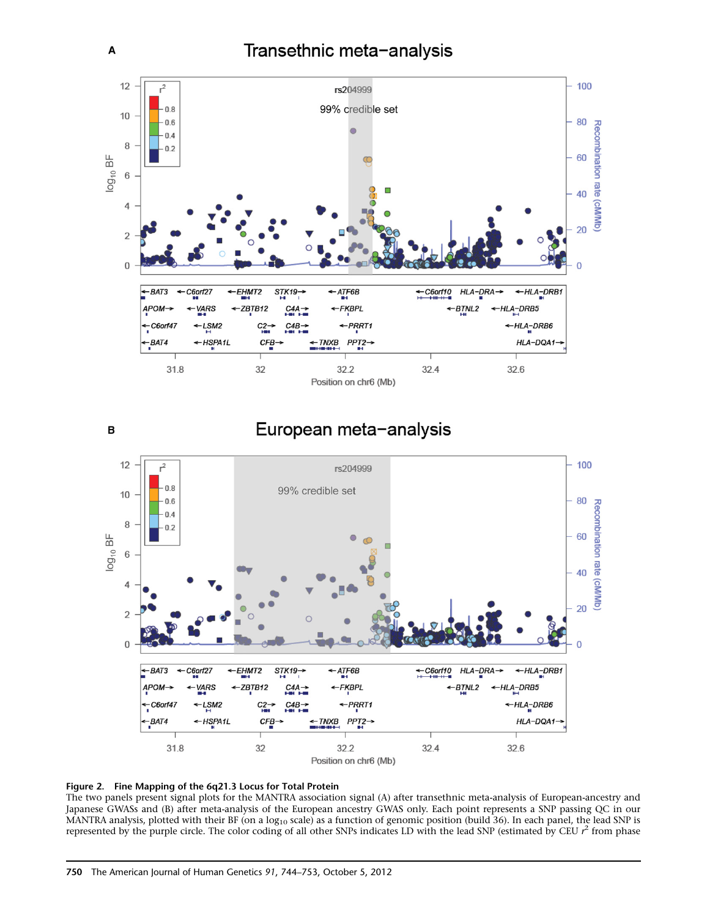<span id="page-6-0"></span>

European meta-analysis





The two panels present signal plots for the MANTRA association signal (A) after transethnic meta-analysis of European-ancestry and Japanese GWASs and (B) after meta-analysis of the European ancestry GWAS only. Each point represents a SNP passing QC in our MANTRA analysis, plotted with their BF (on a  $log_{10}$  scale) as a function of genomic position (build 36). In each panel, the lead SNP is represented by the purple circle. The color coding of all other SNPs indicates LD with the lead SNP (estimated by CEU  $r^2$  from phase

B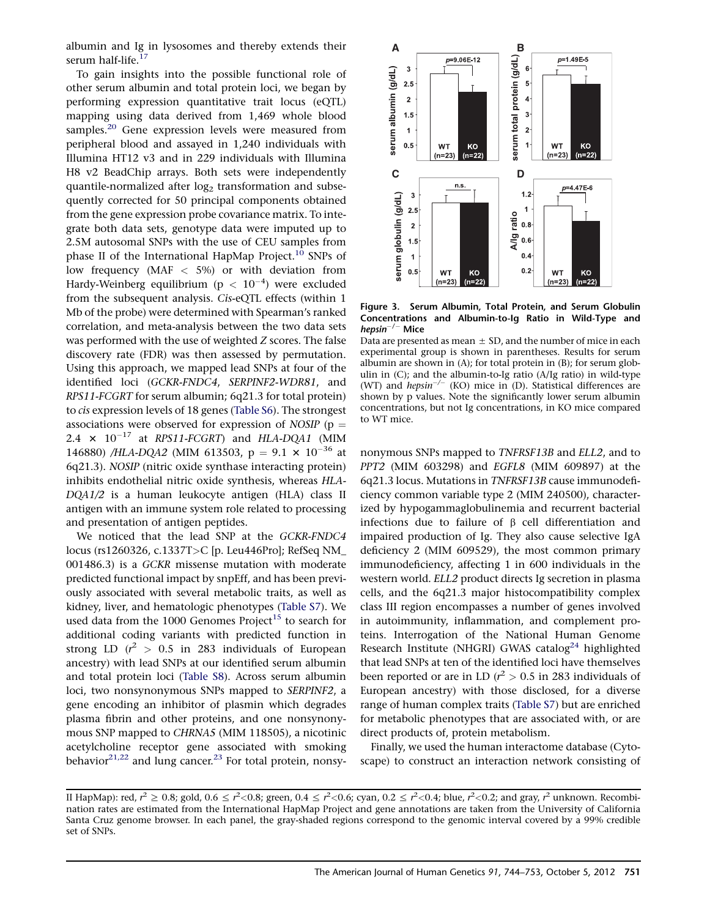<span id="page-7-0"></span>albumin and Ig in lysosomes and thereby extends their serum half-life.<sup>[17](#page-9-0)</sup>

To gain insights into the possible functional role of other serum albumin and total protein loci, we began by performing expression quantitative trait locus (eQTL) mapping using data derived from 1,469 whole blood samples.<sup>[20](#page-9-0)</sup> Gene expression levels were measured from peripheral blood and assayed in 1,240 individuals with Illumina HT12 v3 and in 229 individuals with Illumina H8 v2 BeadChip arrays. Both sets were independently quantile-normalized after  $log<sub>2</sub>$  transformation and subsequently corrected for 50 principal components obtained from the gene expression probe covariance matrix. To integrate both data sets, genotype data were imputed up to 2.5M autosomal SNPs with the use of CEU samples from phase II of the International HapMap Project.<sup>[10](#page-9-0)</sup> SNPs of low frequency (MAF < 5%) or with deviation from Hardy-Weinberg equilibrium (p  $<\,10^{-4})$  were excluded from the subsequent analysis. Cis-eQTL effects (within 1 Mb of the probe) were determined with Spearman's ranked correlation, and meta-analysis between the two data sets was performed with the use of weighted Z scores. The false discovery rate (FDR) was then assessed by permutation. Using this approach, we mapped lead SNPs at four of the identified loci (GCKR-FNDC4, SERPINF2-WDR81, and RPS11-FCGRT for serum albumin; 6q21.3 for total protein) to cis expression levels of 18 genes ([Table S6\)](#page-8-0). The strongest associations were observed for expression of NOSIP ( $p =$ 2.4  $\times$  10<sup>-17</sup> at RPS11-FCGRT) and HLA-DQA1 (MIM 146880) /HLA-DQA2 (MIM 613503, p =  $9.1 \times 10^{-36}$  at 6q21.3). NOSIP (nitric oxide synthase interacting protein) inhibits endothelial nitric oxide synthesis, whereas HLA-DQA1/2 is a human leukocyte antigen (HLA) class II antigen with an immune system role related to processing and presentation of antigen peptides.

We noticed that the lead SNP at the GCKR-FNDC4 locus (rs1260326, c.1337T>C [p. Leu446Pro]; RefSeq NM\_ 001486.3) is a GCKR missense mutation with moderate predicted functional impact by snpEff, and has been previously associated with several metabolic traits, as well as kidney, liver, and hematologic phenotypes ([Table S7\)](#page-8-0). We used data from the 1000 Genomes Project<sup>[15](#page-9-0)</sup> to search for additional coding variants with predicted function in strong LD  $(r^2 > 0.5$  in 283 individuals of European ancestry) with lead SNPs at our identified serum albumin and total protein loci ([Table S8](#page-8-0)). Across serum albumin loci, two nonsynonymous SNPs mapped to SERPINF2, a gene encoding an inhibitor of plasmin which degrades plasma fibrin and other proteins, and one nonsynonymous SNP mapped to CHRNA5 (MIM 118505), a nicotinic acetylcholine receptor gene associated with smoking behavior $21,22$  and lung cancer.<sup>[23](#page-9-0)</sup> For total protein, nonsy-



Figure 3. Serum Albumin, Total Protein, and Serum Globulin Concentrations and Albumin-to-Ig Ratio in Wild-Type and  $hepsin^{-/-}$  Mice

Data are presented as mean  $\pm$  SD, and the number of mice in each experimental group is shown in parentheses. Results for serum albumin are shown in (A); for total protein in (B); for serum globulin in (C); and the albumin-to-Ig ratio (A/Ig ratio) in wild-type (WT) and hepsin<sup>-/-</sup> (KO) mice in (D). Statistical differences are shown by p values. Note the significantly lower serum albumin concentrations, but not Ig concentrations, in KO mice compared to WT mice.

nonymous SNPs mapped to TNFRSF13B and ELL2, and to PPT2 (MIM 603298) and EGFL8 (MIM 609897) at the 6q21.3 locus. Mutations in TNFRSF13B cause immunodeficiency common variable type 2 (MIM 240500), characterized by hypogammaglobulinemia and recurrent bacterial infections due to failure of  $\beta$  cell differentiation and impaired production of Ig. They also cause selective IgA deficiency 2 (MIM 609529), the most common primary immunodeficiency, affecting 1 in 600 individuals in the western world. ELL2 product directs Ig secretion in plasma cells, and the 6q21.3 major histocompatibility complex class III region encompasses a number of genes involved in autoimmunity, inflammation, and complement proteins. Interrogation of the National Human Genome Research Institute (NHGRI) GWAS catalog<sup>24</sup> highlighted that lead SNPs at ten of the identified loci have themselves been reported or are in LD  $(r^2 > 0.5$  in 283 individuals of European ancestry) with those disclosed, for a diverse range of human complex traits [\(Table S7\)](#page-8-0) but are enriched for metabolic phenotypes that are associated with, or are direct products of, protein metabolism.

Finally, we used the human interactome database (Cytoscape) to construct an interaction network consisting of

II HapMap): red,  $r^2 \ge 0.8$ ; gold,  $0.6 \le r^2 < 0.8$ ; green,  $0.4 \le r^2 < 0.6$ ; cyan,  $0.2 \le r^2 < 0.4$ ; blue,  $r^2 < 0.2$ ; and gray,  $r^2$  unknown. Recombi-<br>nation rates are estimated from the International HapMan Project and nation rates are estimated from the International HapMap Project and gene annotations are taken from the University of California Santa Cruz genome browser. In each panel, the gray-shaded regions correspond to the genomic interval covered by a 99% credible set of SNPs.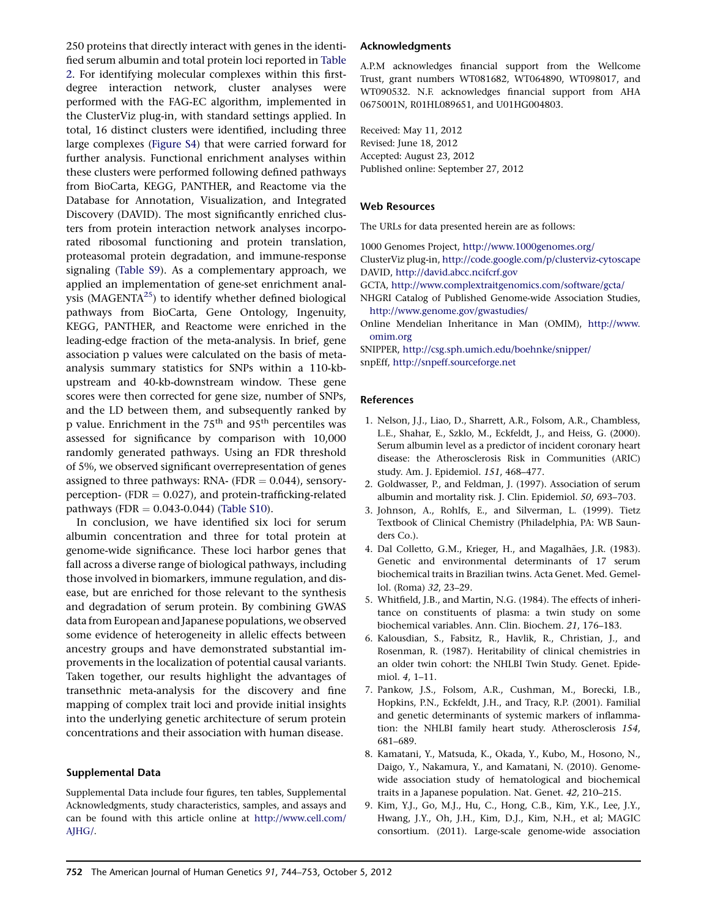<span id="page-8-0"></span>250 proteins that directly interact with genes in the identified serum albumin and total protein loci reported in [Table](#page-5-0) [2.](#page-5-0) For identifying molecular complexes within this firstdegree interaction network, cluster analyses were performed with the FAG-EC algorithm, implemented in the ClusterViz plug-in, with standard settings applied. In total, 16 distinct clusters were identified, including three large complexes (Figure S4) that were carried forward for further analysis. Functional enrichment analyses within these clusters were performed following defined pathways from BioCarta, KEGG, PANTHER, and Reactome via the Database for Annotation, Visualization, and Integrated Discovery (DAVID). The most significantly enriched clusters from protein interaction network analyses incorporated ribosomal functioning and protein translation, proteasomal protein degradation, and immune-response signaling (Table S9). As a complementary approach, we applied an implementation of gene-set enrichment analysis (MAGENTA $^{25}$  $^{25}$  $^{25}$ ) to identify whether defined biological pathways from BioCarta, Gene Ontology, Ingenuity, KEGG, PANTHER, and Reactome were enriched in the leading-edge fraction of the meta-analysis. In brief, gene association p values were calculated on the basis of metaanalysis summary statistics for SNPs within a 110-kbupstream and 40-kb-downstream window. These gene scores were then corrected for gene size, number of SNPs, and the LD between them, and subsequently ranked by p value. Enrichment in the  $75<sup>th</sup>$  and  $95<sup>th</sup>$  percentiles was assessed for significance by comparison with 10,000 randomly generated pathways. Using an FDR threshold of 5%, we observed significant overrepresentation of genes assigned to three pathways: RNA- (FDR  $= 0.044$ ), sensoryperception- (FDR  $= 0.027$ ), and protein-trafficking-related pathways (FDR =  $0.043-0.044$ ) (Table S10).

In conclusion, we have identified six loci for serum albumin concentration and three for total protein at genome-wide significance. These loci harbor genes that fall across a diverse range of biological pathways, including those involved in biomarkers, immune regulation, and disease, but are enriched for those relevant to the synthesis and degradation of serum protein. By combining GWAS data from European and Japanese populations, we observed some evidence of heterogeneity in allelic effects between ancestry groups and have demonstrated substantial improvements in the localization of potential causal variants. Taken together, our results highlight the advantages of transethnic meta-analysis for the discovery and fine mapping of complex trait loci and provide initial insights into the underlying genetic architecture of serum protein concentrations and their association with human disease.

### Supplemental Data

Supplemental Data include four figures, ten tables, Supplemental Acknowledgments, study characteristics, samples, and assays and can be found with this article online at [http://www.cell.com/](http://www.cell.com/AJHG/) [AJHG/](http://www.cell.com/AJHG/).

#### Acknowledgments

A.P.M acknowledges financial support from the Wellcome Trust, grant numbers WT081682, WT064890, WT098017, and WT090532. N.F. acknowledges financial support from AHA 0675001N, R01HL089651, and U01HG004803.

Received: May 11, 2012 Revised: June 18, 2012 Accepted: August 23, 2012 Published online: September 27, 2012

### Web Resources

The URLs for data presented herein are as follows:

- 1000 Genomes Project, <http://www.1000genomes.org/> ClusterViz plug-in, <http://code.google.com/p/clusterviz-cytoscape>
- DAVID, <http://david.abcc.ncifcrf.gov>
- GCTA, <http://www.complextraitgenomics.com/software/gcta/>
- NHGRI Catalog of Published Genome-wide Association Studies, <http://www.genome.gov/gwastudies/>
- Online Mendelian Inheritance in Man (OMIM), [http://www.](http://www.omim.org) [omim.org](http://www.omim.org)

SNIPPER, <http://csg.sph.umich.edu/boehnke/snipper/> snpEff, <http://snpeff.sourceforge.net>

#### References

- 1. Nelson, J.J., Liao, D., Sharrett, A.R., Folsom, A.R., Chambless, L.E., Shahar, E., Szklo, M., Eckfeldt, J., and Heiss, G. (2000). Serum albumin level as a predictor of incident coronary heart disease: the Atherosclerosis Risk in Communities (ARIC) study. Am. J. Epidemiol. 151, 468–477.
- 2. Goldwasser, P., and Feldman, J. (1997). Association of serum albumin and mortality risk. J. Clin. Epidemiol. 50, 693–703.
- 3. Johnson, A., Rohlfs, E., and Silverman, L. (1999). Tietz Textbook of Clinical Chemistry (Philadelphia, PA: WB Saunders Co.).
- 4. Dal Colletto, G.M., Krieger, H., and Magalhães, J.R. (1983). Genetic and environmental determinants of 17 serum biochemical traits in Brazilian twins. Acta Genet. Med. Gemellol. (Roma) 32, 23–29.
- 5. Whitfield, J.B., and Martin, N.G. (1984). The effects of inheritance on constituents of plasma: a twin study on some biochemical variables. Ann. Clin. Biochem. 21, 176–183.
- 6. Kalousdian, S., Fabsitz, R., Havlik, R., Christian, J., and Rosenman, R. (1987). Heritability of clinical chemistries in an older twin cohort: the NHLBI Twin Study. Genet. Epidemiol. 4, 1–11.
- 7. Pankow, J.S., Folsom, A.R., Cushman, M., Borecki, I.B., Hopkins, P.N., Eckfeldt, J.H., and Tracy, R.P. (2001). Familial and genetic determinants of systemic markers of inflammation: the NHLBI family heart study. Atherosclerosis 154, 681–689.
- 8. Kamatani, Y., Matsuda, K., Okada, Y., Kubo, M., Hosono, N., Daigo, Y., Nakamura, Y., and Kamatani, N. (2010). Genomewide association study of hematological and biochemical traits in a Japanese population. Nat. Genet. 42, 210–215.
- 9. Kim, Y.J., Go, M.J., Hu, C., Hong, C.B., Kim, Y.K., Lee, J.Y., Hwang, J.Y., Oh, J.H., Kim, D.J., Kim, N.H., et al; MAGIC consortium. (2011). Large-scale genome-wide association